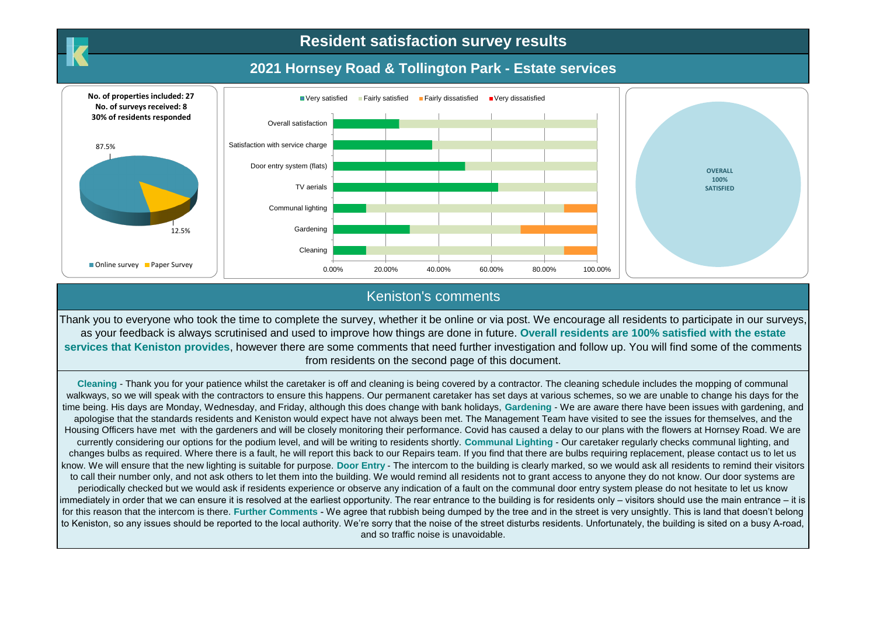# **Resident satisfaction survey results**

# **2021 Hornsey Road & Tollington Park - Estate services**



### Keniston's comments

Thank you to everyone who took the time to complete the survey, whether it be online or via post. We encourage all residents to participate in our surveys, as your feedback is always scrutinised and used to improve how things are done in future. **Overall residents are 100% satisfied with the estate services that Keniston provides**, however there are some comments that need further investigation and follow up. You will find some of the comments from residents on the second page of this document.

**Cleaning** - Thank you for your patience whilst the caretaker is off and cleaning is being covered by a contractor. The cleaning schedule includes the mopping of communal walkways, so we will speak with the contractors to ensure this happens. Our permanent caretaker has set days at various schemes, so we are unable to change his days for the time being. His days are Monday, Wednesday, and Friday, although this does change with bank holidays, **Gardening** - We are aware there have been issues with gardening, and apologise that the standards residents and Keniston would expect have not always been met. The Management Team have visited to see the issues for themselves, and the Housing Officers have met with the gardeners and will be closely monitoring their performance. Covid has caused a delay to our plans with the flowers at Hornsey Road. We are currently considering our options for the podium level, and will be writing to residents shortly. **Communal Lighting** - Our caretaker regularly checks communal lighting, and changes bulbs as required. Where there is a fault, he will report this back to our Repairs team. If you find that there are bulbs requiring replacement, please contact us to let us know. We will ensure that the new lighting is suitable for purpose. **Door Entry** - The intercom to the building is clearly marked, so we would ask all residents to remind their visitors to call their number only, and not ask others to let them into the building. We would remind all residents not to grant access to anyone they do not know. Our door systems are periodically checked but we would ask if residents experience or observe any indication of a fault on the communal door entry system please do not hesitate to let us know immediately in order that we can ensure it is resolved at the earliest opportunity. The rear entrance to the building is for residents only – visitors should use the main entrance – it is for this reason that the intercom is there. Further Comments - We agree that rubbish being dumped by the tree and in the street is very unsightly. This is land that doesn't belong to Keniston, so any issues should be reported to the local authority. We're sorry that the noise of the street disturbs residents. Unfortunately, the building is sited on a busy A-road, and so traffic noise is unavoidable.